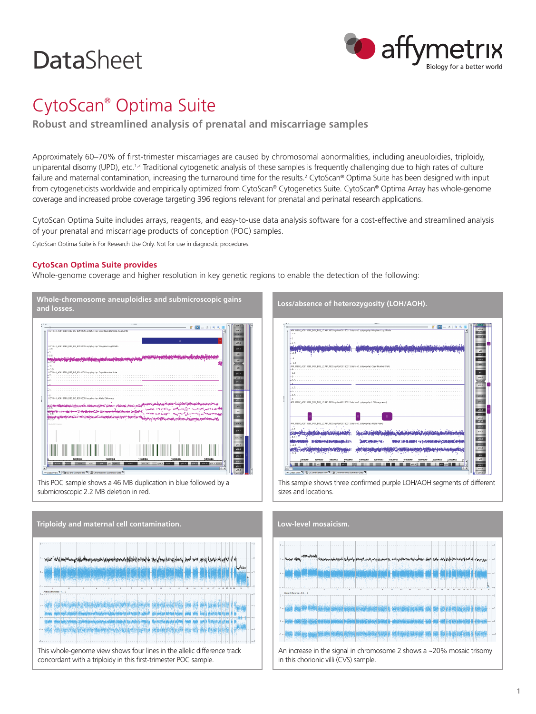# **DataSheet**



## CytoScan® Optima Suite

**Robust and streamlined analysis of prenatal and miscarriage samples**

Approximately 60–70% of first-trimester miscarriages are caused by chromosomal abnormalities, including aneuploidies, triploidy, uniparental disomy (UPD), etc.<sup>1,2</sup> Traditional cytogenetic analysis of these samples is frequently challenging due to high rates of culture failure and maternal contamination, increasing the turnaround time for the results.<sup>2</sup> CytoScan® Optima Suite has been designed with input from cytogeneticists worldwide and empirically optimized from CytoScan® Cytogenetics Suite. CytoScan® Optima Array has whole-genome coverage and increased probe coverage targeting 396 regions relevant for prenatal and perinatal research applications.

CytoScan Optima Suite includes arrays, reagents, and easy-to-use data analysis software for a cost-effective and streamlined analysis of your prenatal and miscarriage products of conception (POC) samples.

CytoScan Optima Suite is For Research Use Only. Not for use in diagnostic procedures.

### **CytoScan Optima Suite provides**

Whole-genome coverage and higher resolution in key genetic regions to enable the detection of the following:







**Loss/absence of heterozygosity (LOH/AOH).**

This sample shows three confirmed purple LOH/AOH segments of different sizes and locations.



An increase in the signal in chromosome 2 shows a ~20% mosaic trisomy in this chorionic villi (CVS) sample.